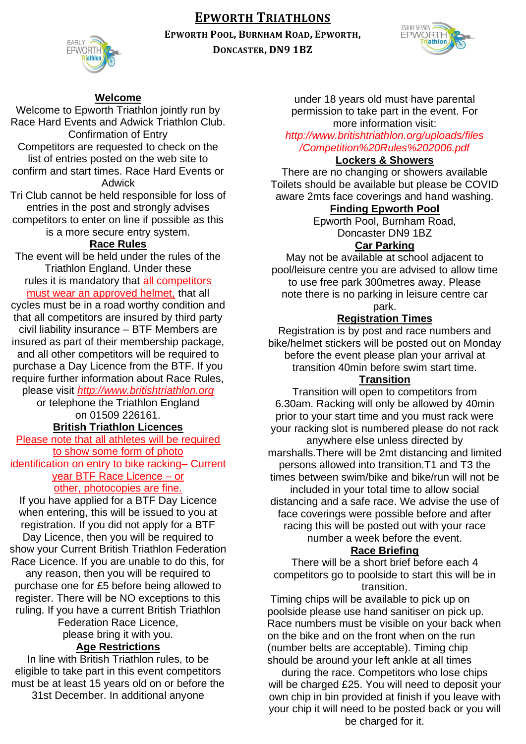## **EPWORTH TRIATHLONS**

**EPWORTH POOL, BURNHAM ROAD, EPWORTH,**



**DONCASTER, DN9 1BZ**



#### **Welcome**

Welcome to Epworth Triathlon jointly run by Race Hard Events and Adwick Triathlon Club. Confirmation of Entry Competitors are requested to check on the list of entries posted on the web site to confirm and start times. Race Hard Events or

Adwick

Tri Club cannot be held responsible for loss of entries in the post and strongly advises competitors to enter on line if possible as this is a more secure entry system.

#### **Race Rules**

The event will be held under the rules of the Triathlon England. Under these rules it is mandatory that all competitors must wear an approved helmet, that all

cycles must be in a road worthy condition and that all competitors are insured by third party civil liability insurance – BTF Members are insured as part of their membership package, and all other competitors will be required to purchase a Day Licence from the BTF. If you require further information about Race Rules,

please visit *http://www.britishtriathlon.org*

or telephone the Triathlon England on 01509 226161.

## **British Triathlon Licences**

Please note that all athletes will be required to show some form of photo identification on entry to bike racking– Current

year BTF Race Licence – or other, photocopies are fine.

If you have applied for a BTF Day Licence when entering, this will be issued to you at registration. If you did not apply for a BTF Day Licence, then you will be required to show your Current British Triathlon Federation Race Licence. If you are unable to do this, for

any reason, then you will be required to purchase one for £5 before being allowed to register. There will be NO exceptions to this ruling. If you have a current British Triathlon

Federation Race Licence,

# please bring it with you.

## **Age Restrictions**

In line with British Triathlon rules, to be eligible to take part in this event competitors must be at least 15 years old on or before the 31st December. In additional anyone

under 18 years old must have parental permission to take part in the event. For more information visit: *http://www.britishtriathlon.org/uploads/files*

# */Competition%20Rules%202006.pdf*

## **Lockers & Showers**

There are no changing or showers available Toilets should be available but please be COVID aware 2mts face coverings and hand washing.

#### **Finding Epworth Pool**

Epworth Pool, Burnham Road, Doncaster DN9 1BZ

#### **Car Parking**

May not be available at school adjacent to pool/leisure centre you are advised to allow time to use free park 300metres away. Please note there is no parking in leisure centre car park.

#### **Registration Times**

Registration is by post and race numbers and bike/helmet stickers will be posted out on Monday before the event please plan your arrival at transition 40min before swim start time.

#### **Transition**

Transition will open to competitors from 6.30am. Racking will only be allowed by 40min prior to your start time and you must rack were your racking slot is numbered please do not rack anywhere else unless directed by marshalls.There will be 2mt distancing and limited persons allowed into transition.T1 and T3 the times between swim/bike and bike/run will not be included in your total time to allow social distancing and a safe race. We advise the use of face coverings were possible before and after racing this will be posted out with your race number a week before the event.

#### **Race Briefing**

There will be a short brief before each 4 competitors go to poolside to start this will be in transition.

Timing chips will be available to pick up on poolside please use hand sanitiser on pick up. Race numbers must be visible on your back when on the bike and on the front when on the run (number belts are acceptable). Timing chip should be around your left ankle at all times

during the race. Competitors who lose chips will be charged £25. You will need to deposit your own chip in bin provided at finish if you leave with your chip it will need to be posted back or you will be charged for it.